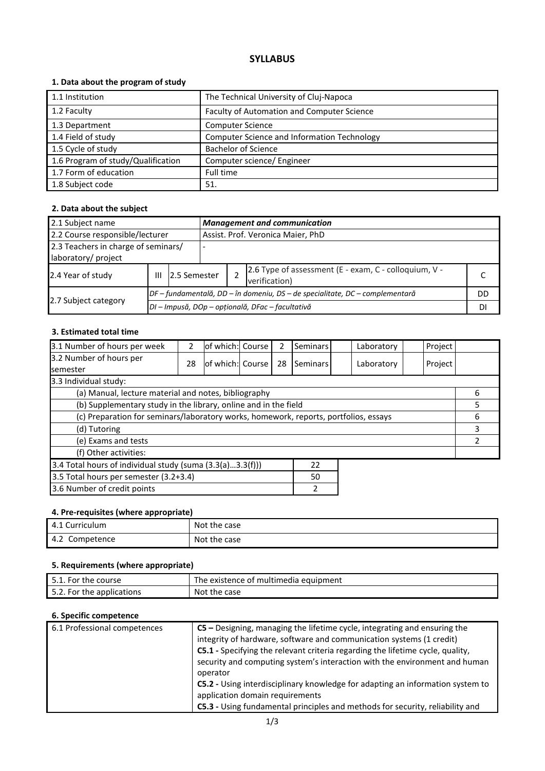# **SYLLABUS**

## **1. Data about the program of study**

| 1.1 Institution                    | The Technical University of Cluj-Napoca     |
|------------------------------------|---------------------------------------------|
| 1.2 Faculty                        | Faculty of Automation and Computer Science  |
| 1.3 Department                     | <b>Computer Science</b>                     |
| 1.4 Field of study                 | Computer Science and Information Technology |
| 1.5 Cycle of study                 | <b>Bachelor of Science</b>                  |
| 1.6 Program of study/Qualification | Computer science/ Engineer                  |
| 1.7 Form of education              | Full time                                   |
| 1.8 Subject code                   | 51.                                         |

## **2. Data about the subject**

| 2.1 Subject name                    | <b>Management and communication</b> |                                                  |                                   |                                                                              |  |  |  |  |
|-------------------------------------|-------------------------------------|--------------------------------------------------|-----------------------------------|------------------------------------------------------------------------------|--|--|--|--|
| 2.2 Course responsible/lecturer     |                                     |                                                  | Assist. Prof. Veronica Maier, PhD |                                                                              |  |  |  |  |
| 2.3 Teachers in charge of seminars/ |                                     |                                                  |                                   |                                                                              |  |  |  |  |
| laboratory/ project                 |                                     |                                                  |                                   |                                                                              |  |  |  |  |
| 2.4 Year of study                   | Ш                                   | 2.5 Semester                                     |                                   | 2.6 Type of assessment (E - exam, C - colloquium, V -<br>verification)       |  |  |  |  |
|                                     |                                     |                                                  |                                   | DF – fundamentală, DD – în domeniu, DS – de specialitate, DC – complementară |  |  |  |  |
| 2.7 Subject category                |                                     | DI - Impusă, DOp - opțională, DFac - facultativă |                                   |                                                                              |  |  |  |  |

### **3. Estimated total time**

| 3.1 Number of hours per week                                                         | 2  | lof which: Course |  | 2  | Seminars |  | Laboratory | Project |   |
|--------------------------------------------------------------------------------------|----|-------------------|--|----|----------|--|------------|---------|---|
| 3.2 Number of hours per<br><b>semester</b>                                           | 28 | of which: Course  |  | 28 | Seminars |  | Laboratory | Project |   |
| 3.3 Individual study:                                                                |    |                   |  |    |          |  |            |         |   |
| (a) Manual, lecture material and notes, bibliography                                 |    |                   |  |    |          |  |            |         | 6 |
| (b) Supplementary study in the library, online and in the field                      |    |                   |  |    |          |  | 5          |         |   |
| (c) Preparation for seminars/laboratory works, homework, reports, portfolios, essays |    |                   |  |    |          |  | 6          |         |   |
| (d) Tutoring                                                                         |    |                   |  |    |          |  | 3          |         |   |
| (e) Exams and tests                                                                  |    |                   |  |    |          |  |            |         |   |
| (f) Other activities:                                                                |    |                   |  |    |          |  |            |         |   |
| 3.4 Total hours of individual study (suma (3.3(a)3.3(f)))<br>22                      |    |                   |  |    |          |  |            |         |   |
| 3.5 Total hours per semester (3.2+3.4)<br>50                                         |    |                   |  |    |          |  |            |         |   |
| 3.6 Number of credit points                                                          |    |                   |  |    |          |  |            |         |   |

#### **4. Pre-requisites (where appropriate)**

| '. Curriculum<br>4.1 | Not the case |
|----------------------|--------------|
| Competence<br>4.2    | Not the case |

## **5. Requirements (where appropriate)**

| 5.1. For the course       | The existence of multimedia equipment |
|---------------------------|---------------------------------------|
| 5.2. For the applications | Not the case                          |

#### **6. Specific competence**

| 6.1 Professional competences | $CS$ – Designing, managing the lifetime cycle, integrating and ensuring the    |
|------------------------------|--------------------------------------------------------------------------------|
|                              | integrity of hardware, software and communication systems (1 credit)           |
|                              | C5.1 - Specifying the relevant criteria regarding the lifetime cycle, quality, |
|                              | security and computing system's interaction with the environment and human     |
|                              | operator                                                                       |
|                              | C5.2 - Using interdisciplinary knowledge for adapting an information system to |
|                              | application domain requirements                                                |
|                              | C5.3 - Using fundamental principles and methods for security, reliability and  |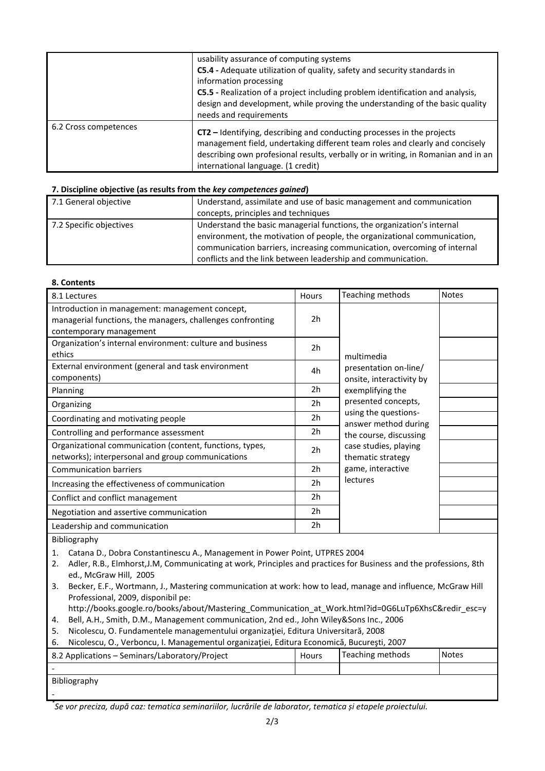|                       | usability assurance of computing systems<br>C5.4 - Adequate utilization of quality, safety and security standards in<br>information processing<br>C5.5 - Realization of a project including problem identification and analysis,<br>design and development, while proving the understanding of the basic quality<br>needs and requirements |
|-----------------------|--------------------------------------------------------------------------------------------------------------------------------------------------------------------------------------------------------------------------------------------------------------------------------------------------------------------------------------------|
| 6.2 Cross competences | CT2 – Identifying, describing and conducting processes in the projects<br>management field, undertaking different team roles and clearly and concisely<br>describing own profesional results, verbally or in writing, in Romanian and in an<br>international language. (1 credit)                                                          |

#### **7. Discipline objective (as results from the** *key competences gained***)**

| 7.1 General objective<br>Understand, assimilate and use of basic management and communication<br>concepts, principles and techniques<br>Understand the basic managerial functions, the organization's internal<br>7.2 Specific objectives<br>environment, the motivation of people, the organizational communication,<br>communication barriers, increasing communication, overcoming of internal<br>conflicts and the link between leadership and communication. |  |
|-------------------------------------------------------------------------------------------------------------------------------------------------------------------------------------------------------------------------------------------------------------------------------------------------------------------------------------------------------------------------------------------------------------------------------------------------------------------|--|
|                                                                                                                                                                                                                                                                                                                                                                                                                                                                   |  |
|                                                                                                                                                                                                                                                                                                                                                                                                                                                                   |  |
|                                                                                                                                                                                                                                                                                                                                                                                                                                                                   |  |

#### **8. Contents**

| 8.1 Lectures                                                                                                                             | Hours          | Teaching methods                                  | <b>Notes</b> |
|------------------------------------------------------------------------------------------------------------------------------------------|----------------|---------------------------------------------------|--------------|
| Introduction in management: management concept,<br>managerial functions, the managers, challenges confronting<br>contemporary management | 2h             |                                                   |              |
| Organization's internal environment: culture and business<br>ethics                                                                      | 2h             | multimedia                                        |              |
| External environment (general and task environment<br>components)                                                                        | 4h             | presentation on-line/<br>onsite, interactivity by |              |
| Planning                                                                                                                                 | 2 <sub>h</sub> | exemplifying the                                  |              |
| Organizing                                                                                                                               | 2 <sub>h</sub> | presented concepts,                               |              |
| Coordinating and motivating people                                                                                                       | 2h             | using the questions-<br>answer method during      |              |
| Controlling and performance assessment                                                                                                   | 2h             | the course, discussing                            |              |
| Organizational communication (content, functions, types,<br>networks); interpersonal and group communications                            | 2 <sub>h</sub> | case studies, playing<br>thematic strategy        |              |
| <b>Communication barriers</b>                                                                                                            | 2h             | game, interactive                                 |              |
| Increasing the effectiveness of communication                                                                                            | 2 <sub>h</sub> | lectures                                          |              |
| Conflict and conflict management                                                                                                         | 2h             |                                                   |              |
| Negotiation and assertive communication                                                                                                  | 2h             |                                                   |              |
| Leadership and communication                                                                                                             | 2h             |                                                   |              |

Bibliography

1. Catana D., Dobra Constantinescu A., Management in Power Point, UTPRES 2004

2. Adler, R.B., Elmhorst,J.M, Communicating at work, Principles and practices for Business and the professions, 8th ed., McGraw Hill, 2005

- 3. Becker, E.F., Wortmann, J., Mastering communication at work: how to lead, manage and influence, McGraw Hill Professional, 2009, disponibil pe:
- http://books.google.ro/books/about/Mastering\_Communication\_at\_Work.html?id=0G6LuTp6XhsC&redir\_esc=y
- 4. Bell, A.H., Smith, D.M., Management communication, 2nd ed., John Wiley&Sons Inc., 2006
- 5. Nicolescu, O. Fundamentele managementului organizaţiei, Editura Universitară, 2008

|  |  |  | Nicolescu, O., Verboncu, I. Managementul organizației, Editura Economică, București, 2007 |  |
|--|--|--|-------------------------------------------------------------------------------------------|--|
|  |  |  |                                                                                           |  |
|  |  |  |                                                                                           |  |

| 8.2 Applications – Seminars/Laboratory/Project | Hours | Teaching methods | <b>Notes</b> |
|------------------------------------------------|-------|------------------|--------------|
|                                                |       |                  |              |
| Bibliography                                   |       |                  |              |
|                                                |       |                  |              |

*<sup>\*</sup> Se vor preciza, după caz: tematica seminariilor, lucrările de laborator, tematica și etapele proiectului.*